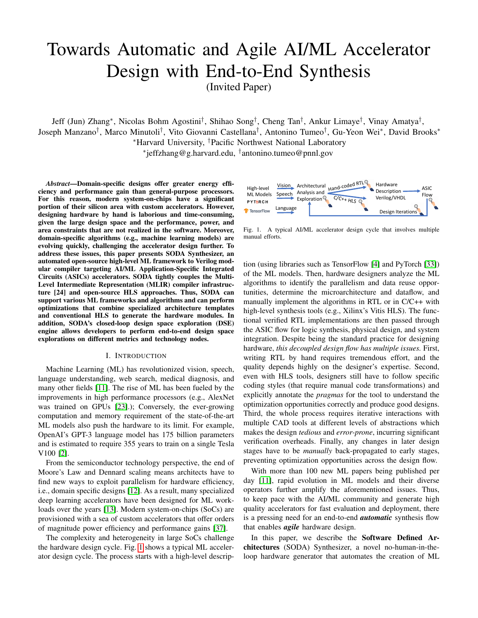# Towards Automatic and Agile AI/ML Accelerator Design with End-to-End Synthesis

(Invited Paper)

Jeff (Jun) Zhang<sup>∗</sup> , Nicolas Bohm Agostini† , Shihao Song† , Cheng Tan† , Ankur Limaye† , Vinay Amatya† , Joseph Manzano<sup>†</sup>, Marco Minutoli<sup>†</sup>, Vito Giovanni Castellana<sup>†</sup>, Antonino Tumeo<sup>†</sup>, Gu-Yeon Wei\*, David Brooks\* <sup>∗</sup>Harvard University, †Pacific Northwest National Laboratory

∗ jeffzhang@g.harvard.edu, † antonino.tumeo@pnnl.gov

*Abstract*—Domain-specific designs offer greater energy efficiency and performance gain than general-purpose processors. For this reason, modern system-on-chips have a significant portion of their silicon area with custom accelerators. However, designing hardware by hand is laborious and time-consuming, given the large design space and the performance, power, and area constraints that are not realized in the software. Moreover, domain-specific algorithms (e.g., machine learning models) are evolving quickly, challenging the accelerator design further. To address these issues, this paper presents SODA Synthesizer, an automated open-source high-level ML framework to Verilog modular compiler targeting AI/ML Application-Specific Integrated Circuits (ASICs) accelerators. SODA tightly couples the Multi-Level Intermediate Representation (MLIR) compiler infrastructure [24] and open-source HLS approaches. Thus, SODA can support various ML frameworks and algorithms and can perform optimizations that combine specialized architecture templates and conventional HLS to generate the hardware modules. In addition, SODA's closed-loop design space exploration (DSE) engine allows developers to perform end-to-end design space explorations on different metrics and technology nodes.

#### I. INTRODUCTION

Machine Learning (ML) has revolutionized vision, speech, language understanding, web search, medical diagnosis, and many other fields [\[11\]](#page-7-0). The rise of ML has been fueled by the improvements in high performance processors (e.g., AlexNet was trained on GPUs [\[23\]](#page-7-1).); Conversely, the ever-growing computation and memory requirement of the state-of-the-art ML models also push the hardware to its limit. For example, OpenAI's GPT-3 language model has 175 billion parameters and is estimated to require 355 years to train on a single Tesla V100 [\[2\]](#page-7-2).

From the semiconductor technology perspective, the end of Moore's Law and Dennard scaling means architects have to find new ways to exploit parallelism for hardware efficiency, i.e., domain specific designs [\[12\]](#page-7-3). As a result, many specialized deep learning accelerators have been designed for ML workloads over the years [\[13\]](#page-7-4). Modern system-on-chips (SoCs) are provisioned with a sea of custom accelerators that offer orders of magnitude power efficiency and performance gains [\[37\]](#page-7-5).

The complexity and heterogeneity in large SoCs challenge the hardware design cycle. Fig. [1](#page-0-0) shows a typical ML accelerator design cycle. The process starts with a high-level descrip-



<span id="page-0-0"></span>Fig. 1. A typical AI/ML accelerator design cycle that involves multiple manual efforts.

tion (using libraries such as TensorFlow [\[4\]](#page-7-6) and PyTorch [\[33\]](#page-7-7)) of the ML models. Then, hardware designers analyze the ML algorithms to identify the parallelism and data reuse opportunities, determine the microarchitecture and dataflow, and manually implement the algorithms in RTL or in C/C++ with high-level synthesis tools (e.g., Xilinx's Vitis HLS). The functional verified RTL implementations are then passed through the ASIC flow for logic synthesis, physical design, and system integration. Despite being the standard practice for designing hardware, *this decoupled design flow has multiple issues.* First, writing RTL by hand requires tremendous effort, and the quality depends highly on the designer's expertise. Second, even with HLS tools, designers still have to follow specific coding styles (that require manual code transformations) and explicitly annotate the *pragmas* for the tool to understand the optimization opportunities correctly and produce good designs. Third, the whole process requires iterative interactions with multiple CAD tools at different levels of abstractions which makes the design *tedious* and *error-prone*, incurring significant verification overheads. Finally, any changes in later design stages have to be *manually* back-propagated to early stages, preventing optimization opportunities across the design flow.

With more than 100 new ML papers being published per day [\[11\]](#page-7-0), rapid evolution in ML models and their diverse operators further amplify the aforementioned issues. Thus, to keep pace with the AI/ML community and generate high quality accelerators for fast evaluation and deployment, there is a pressing need for an end-to-end *automatic* synthesis flow that enables *agile* hardware design.

In this paper, we describe the Software Defined Architectures (SODA) Synthesizer, a novel no-human-in-theloop hardware generator that automates the creation of ML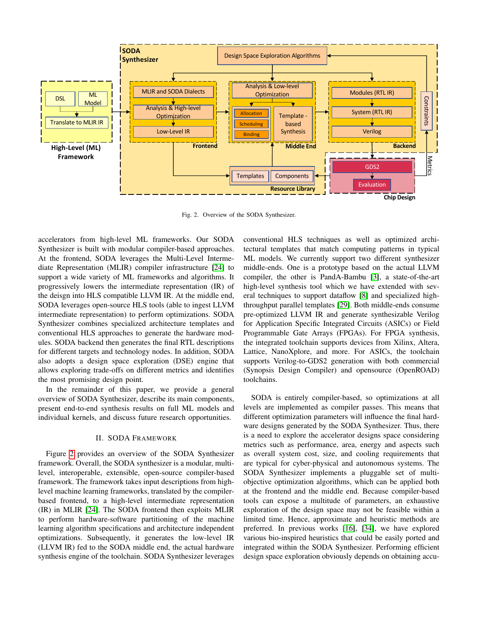

<span id="page-1-0"></span>Fig. 2. Overview of the SODA Synthesizer.

accelerators from high-level ML frameworks. Our SODA Synthesizer is built with modular compiler-based approaches. At the frontend, SODA leverages the Multi-Level Intermediate Representation (MLIR) compiler infrastructure [\[24\]](#page-7-8) to support a wide variety of ML frameworks and algorithms. It progressively lowers the intermediate representation (IR) of the deisgn into HLS compatible LLVM IR. At the middle end, SODA leverages open-source HLS tools (able to ingest LLVM intermediate representation) to perform optimizations. SODA Synthesizer combines specialized architecture templates and conventional HLS approaches to generate the hardware modules. SODA backend then generates the final RTL descriptions for different targets and technology nodes. In addition, SODA also adopts a design space exploration (DSE) engine that allows exploring trade-offs on different metrics and identifies the most promising design point.

In the remainder of this paper, we provide a general overview of SODA Synthesizer, describe its main components, present end-to-end synthesis results on full ML models and individual kernels, and discuss future research opportunities.

## II. SODA FRAMEWORK

Figure [2](#page-1-0) provides an overview of the SODA Synthesizer framework. Overall, the SODA synthesizer is a modular, multilevel, interoperable, extensible, open-source compiler-based framework. The framework takes input descriptions from highlevel machine learning frameworks, translated by the compilerbased frontend, to a high-level intermediate representation (IR) in MLIR [\[24\]](#page-7-8). The SODA frontend then exploits MLIR to perform hardware-software partitioning of the machine learning algorithm specifications and architecture independent optimizations. Subsequently, it generates the low-level IR (LLVM IR) fed to the SODA middle end, the actual hardware synthesis engine of the toolchain. SODA Synthesizer leverages

conventional HLS techniques as well as optimized architectural templates that match computing patterns in typical ML models. We currently support two different synthesizer middle-ends. One is a prototype based on the actual LLVM compiler, the other is PandA-Bambu [\[3\]](#page-7-9), a state-of-the-art high-level synthesis tool which we have extended with several techniques to support dataflow [\[8\]](#page-7-10) and specialized highthroughput parallel templates [\[29\]](#page-7-11). Both middle-ends consume pre-optimized LLVM IR and generate synthesizable Verilog for Application Specific Integrated Circuits (ASICs) or Field Programmable Gate Arrays (FPGAs). For FPGA synthesis, the integrated toolchain supports devices from Xilinx, Altera, Lattice, NanoXplore, and more. For ASICs, the toolchain supports Verilog-to-GDS2 generation with both commercial (Synopsis Design Compiler) and opensource (OpenROAD) toolchains.

SODA is entirely compiler-based, so optimizations at all levels are implemented as compiler passes. This means that different optimization parameters will influence the final hardware designs generated by the SODA Synthesizer. Thus, there is a need to explore the accelerator designs space considering metrics such as performance, area, energy and aspects such as overall system cost, size, and cooling requirements that are typical for cyber-physical and autonomous systems. The SODA Synthesizer implements a pluggable set of multiobjective optimization algorithms, which can be applied both at the frontend and the middle end. Because compiler-based tools can expose a multitude of parameters, an exhaustive exploration of the design space may not be feasible within a limited time. Hence, approximate and heuristic methods are preferred. In previous works [\[16\]](#page-7-12), [\[34\]](#page-7-13), we have explored various bio-inspired heuristics that could be easily ported and integrated within the SODA Synthesizer. Performing efficient design space exploration obviously depends on obtaining accu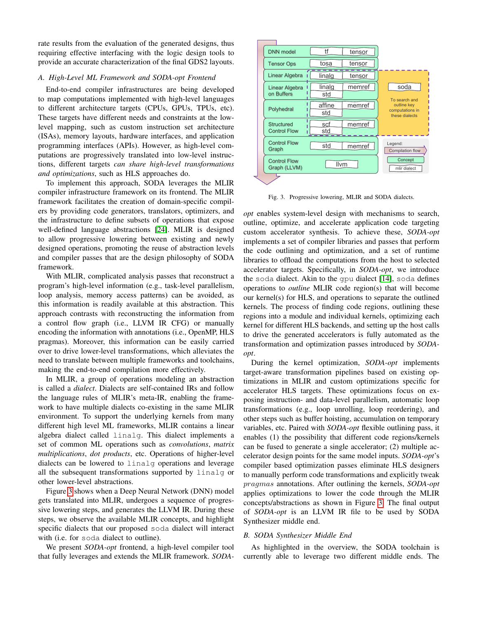rate results from the evaluation of the generated designs, thus requiring effective interfacing with the logic design tools to provide an accurate characterization of the final GDS2 layouts.

# <span id="page-2-1"></span>*A. High-Level ML Framework and SODA-opt Frontend*

End-to-end compiler infrastructures are being developed to map computations implemented with high-level languages to different architecture targets (CPUs, GPUs, TPUs, etc). These targets have different needs and constraints at the lowlevel mapping, such as custom instruction set architecture (ISAs), memory layouts, hardware interfaces, and application programming interfaces (APIs). However, as high-level computations are progressively translated into low-level instructions, different targets *can share high-level transformations and optimizations*, such as HLS approaches do.

To implement this approach, SODA leverages the MLIR compiler infrastructure framework on its frontend. The MLIR framework facilitates the creation of domain-specific compilers by providing code generators, translators, optimizers, and the infrastructure to define subsets of operations that expose well-defined language abstractions [\[24\]](#page-7-8). MLIR is designed to allow progressive lowering between existing and newly designed operations, promoting the reuse of abstraction levels and compiler passes that are the design philosophy of SODA framework.

With MLIR, complicated analysis passes that reconstruct a program's high-level information (e.g., task-level parallelism, loop analysis, memory access patterns) can be avoided, as this information is readily available at this abstraction. This approach contrasts with reconstructing the information from a control flow graph (i.e., LLVM IR CFG) or manually encoding the information with annotations (i.e., OpenMP, HLS pragmas). Moreover, this information can be easily carried over to drive lower-level transformations, which alleviates the need to translate between multiple frameworks and toolchains, making the end-to-end compilation more effectively.

In MLIR, a group of operations modeling an abstraction is called a *dialect*. Dialects are self-contained IRs and follow the language rules of MLIR's meta-IR, enabling the framework to have multiple dialects co-existing in the same MLIR environment. To support the underlying kernels from many different high level ML frameworks, MLIR contains a linear algebra dialect called linalg. This dialect implements a set of common ML operations such as *convolutions*, *matrix multiplications*, *dot products*, etc. Operations of higher-level dialects can be lowered to linalg operations and leverage all the subsequent transformations supported by linalg or other lower-level abstractions.

Figure [3](#page-2-0) shows when a Deep Neural Network (DNN) model gets translated into MLIR, undergoes a sequence of progressive lowering steps, and generates the LLVM IR. During these steps, we observe the available MLIR concepts, and highlight specific dialects that our proposed soda dialect will interact with (i.e. for soda dialect to outline).

We present *SODA-opt* frontend, a high-level compiler tool that fully leverages and extends the MLIR framework. *SODA-*



<span id="page-2-0"></span>Fig. 3. Progressive lowering, MLIR and SODA dialects.

*opt* enables system-level design with mechanisms to search, outline, optimize, and accelerate application code targeting custom accelerator synthesis. To achieve these, *SODA-opt* implements a set of compiler libraries and passes that perform the code outlining and optimization, and a set of runtime libraries to offload the computations from the host to selected accelerator targets. Specifically, in *SODA-opt*, we introduce the soda dialect. Akin to the gpu dialect [\[14\]](#page-7-14), soda defines operations to *outline* MLIR code region(s) that will become our kernel(s) for HLS, and operations to separate the outlined kernels. The process of finding code regions, outlining these regions into a module and individual kernels, optimizing each kernel for different HLS backends, and setting up the host calls to drive the generated accelerators is fully automated as the transformation and optimization passes introduced by *SODAopt*.

During the kernel optimization, *SODA-opt* implements target-aware transformation pipelines based on existing optimizations in MLIR and custom optimizations specific for accelerator HLS targets. These optimizations focus on exposing instruction- and data-level parallelism, automatic loop transformations (e.g., loop unrolling, loop reordering), and other steps such as buffer hoisting, accumulation on temporary variables, etc. Paired with *SODA-opt* flexible outlining pass, it enables (1) the possibility that different code regions/kernels can be fused to generate a single accelerator; (2) multiple accelerator design points for the same model inputs. *SODA-opt*'s compiler based optimization passes eliminate HLS designers to manually perform code transformations and explicitly tweak pragmas annotations. After outlining the kernels, *SODA-opt* applies optimizations to lower the code through the MLIR concepts/abstractions as shown in Figure [3.](#page-2-0) The final output of *SODA-opt* is an LLVM IR file to be used by SODA Synthesizer middle end.

## *B. SODA Synthesizer Middle End*

As highlighted in the overview, the SODA toolchain is currently able to leverage two different middle ends. The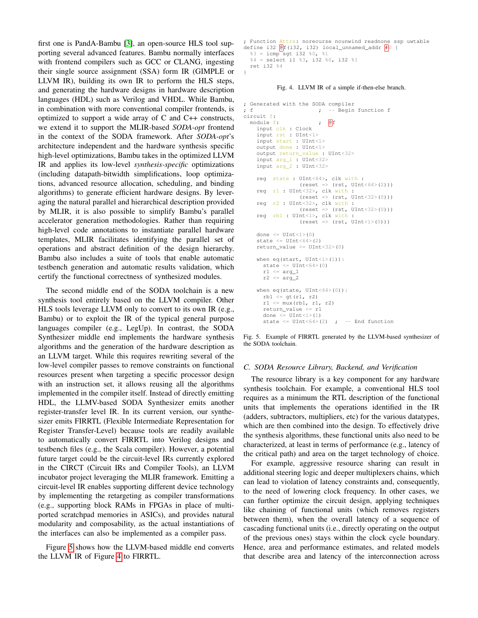first one is PandA-Bambu [\[3\]](#page-7-9), an open-source HLS tool supporting several advanced features. Bambu normally interfaces with frontend compilers such as GCC or CLANG, ingesting their single source assignment (SSA) form IR (GIMPLE or LLVM IR), building its own IR to perform the HLS steps, and generating the hardware designs in hardware description languages (HDL) such as Verilog and VHDL. While Bambu, in combination with more conventional compiler frontends, is optimized to support a wide array of C and C++ constructs, we extend it to support the MLIR-based *SODA-opt* frontend in the context of the SODA framework. After *SODA-opt*'s architecture independent and the hardware synthesis specific high-level optimizations, Bambu takes in the optimized LLVM IR and applies its low-level *synthesis-specific* optimizations (including datapath-bitwidth simplifications, loop optimizations, advanced resource allocation, scheduling, and binding algorithms) to generate efficient hardware designs. By leveraging the natural parallel and hierarchical description provided by MLIR, it is also possible to simplify Bambu's parallel accelerator generation methodologies. Rather than requiring high-level code annotations to instantiate parallel hardware templates, MLIR facilitates identifying the parallel set of operations and abstract definition of the design hierarchy. Bambu also includes a suite of tools that enable automatic testbench generation and automatic results validation, which certify the functional correctness of synthesized modules.

The second middle end of the SODA toolchain is a new synthesis tool entirely based on the LLVM compiler. Other HLS tools leverage LLVM only to convert to its own IR (e.g., Bambu) or to exploit the IR of the typical general purpose languages compiler (e.g., LegUp). In contrast, the SODA Synthesizer middle end implements the hardware synthesis algorithms and the generation of the hardware description as an LLVM target. While this requires rewriting several of the low-level compiler passes to remove constraints on functional resources present when targeting a specific processor design with an instruction set, it allows reusing all the algorithms implemented in the compiler itself. Instead of directly emitting HDL, the LLMV-based SODA Synthesizer emits another register-transfer level IR. In its current version, our synthesizer emits FIRRTL (Flexible Intermediate Representation for Register Transfer-Level) because tools are readily available to automatically convert FIRRTL into Verilog designs and testbench files (e.g., the Scala compiler). However, a potential future target could be the circuit-level IRs currently explored in the CIRCT (Circuit IRs and Compiler Tools), an LLVM incubator project leveraging the MLIR framework. Emitting a circuit-level IR enables supporting different device technology by implementing the retargeting as compiler transformations (e.g., supporting block RAMs in FPGAs in place of multiported scratchpad memories in ASICs), and provides natural modularity and composability, as the actual instantiations of the interfaces can also be implemented as a compiler pass.

Figure [5](#page-3-0) shows how the LLVM-based middle end converts the LLVM IR of Figure [4](#page-3-1) to FIRRTL.

```
; Function Attrs: norecurse nounwind readnone ssp uwtable
define i32 \boxed{\text{e}}f(i32, i32) local_unnamed_addr \boxed{\text{#}}0 {
  3 = i cmp sqt i32 80, 81%4 = select i1 %3, i32 %0, i32 %1
  ret i32 %4
}
```
<span id="page-3-1"></span>Fig. 4. LLVM IR of a simple if-then-else branch.

```
; Generated with the SODA compiler
; f - Begin function f
circuit f:
 module f: \qquad \qquad ; \quad \mathbb{Q} f
    input clk : Clock
    input rst : UInt<1>
    input start : UInt<1>
    output done : UInt<1>
    output return_value : UInt<32>
    input arg_1 : UInt<32>
    input arg_2 : UInt<32>
    reg state : UInt<64>, clk with :
                  (reset \Rightarrow (rst, UInt<64>(2)))reg r1 : UInt<32>, clk with :
                  (reset => (rst, UInt<32>(0)))
    reg r2 : UInt<32>, clk with :
                  (reset => (rst, UInt<32>(0)))
    reg rb1 : UInt<1>, clk with :
                  (reset \Rightarrow (rst, UInt<1>(0)))done \leq UInt\leq1>(0)
    state \leq UInt\leq 64 (2)
    return value \leq UInt\leq32>(0)
    when eq(start, UInt<1>(1)):
      state <= UInt<64>(0)
      r1 \leq arq_1r2 \leq arg_2when eq(state, UInt<64>(0)):
      rb1 \leq gt(r1, r2)r1 \leq mux(rb1, r1, r2)return_value <= r1
      done \leq UInt\leq1>(1)
      state \leq UInt\leq64>(2) ; -- End function
```
<span id="page-3-0"></span>Fig. 5. Example of FIRRTL generated by the LLVM-based synthesizer of the SODA toolchain.

#### *C. SODA Resource Library, Backend, and Verification*

The resource library is a key component for any hardware synthesis toolchain. For example, a conventional HLS tool requires as a minimum the RTL description of the functional units that implements the operations identified in the IR (adders, subtractors, multipliers, etc) for the various datatypes, which are then combined into the design. To effectively drive the synthesis algorithms, these functional units also need to be characterized, at least in terms of performance (e.g., latency of the critical path) and area on the target technology of choice.

For example, aggressive resource sharing can result in additional steering logic and deeper multiplexers chains, which can lead to violation of latency constraints and, consequently, to the need of lowering clock frequency. In other cases, we can further optimize the circuit design, applying techniques like chaining of functional units (which removes registers between them), when the overall latency of a sequence of cascading functional units (i.e., directly operating on the output of the previous ones) stays within the clock cycle boundary. Hence, area and performance estimates, and related models that describe area and latency of the interconnection across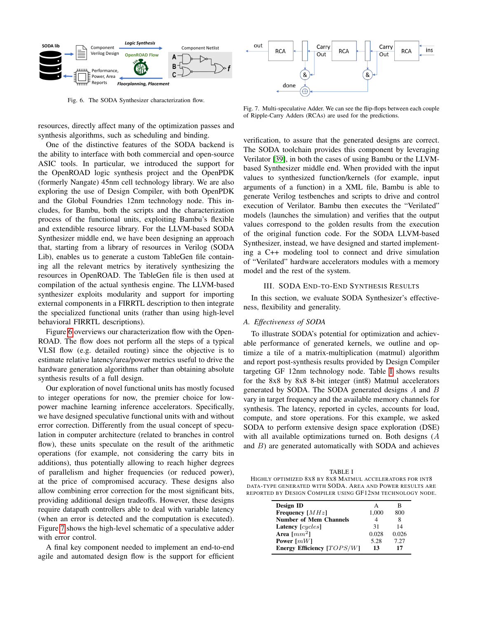

<span id="page-4-0"></span>Fig. 6. The SODA Synthesizer characterization flow.

resources, directly affect many of the optimization passes and synthesis algorithms, such as scheduling and binding.

One of the distinctive features of the SODA backend is the ability to interface with both commercial and open-source ASIC tools. In particular, we introduced the support for the OpenROAD logic synthesis project and the OpenPDK (formerly Nangate) 45nm cell technology library. We are also exploring the use of Design Compiler, with both OpenPDK and the Global Foundries 12nm technology node. This includes, for Bambu, both the scripts and the characterization process of the functional units, exploiting Bambu's flexible and extendible resource library. For the LLVM-based SODA Synthesizer middle end, we have been designing an approach that, starting from a library of resources in Verilog (SODA Lib), enables us to generate a custom TableGen file containing all the relevant metrics by iteratively synthesizing the resources in OpenROAD. The TableGen file is then used at compilation of the actual synthesis engine. The LLVM-based synthesizer exploits modularity and support for importing external components in a FIRRTL description to then integrate the specialized functional units (rather than using high-level behavioral FIRRTL descriptions).

Figure [6](#page-4-0) overviews our characterization flow with the Open-ROAD. The flow does not perform all the steps of a typical VLSI flow (e.g. detailed routing) since the objective is to estimate relative latency/area/power metrics useful to drive the hardware generation algorithms rather than obtaining absolute synthesis results of a full design.

Our exploration of novel functional units has mostly focused to integer operations for now, the premier choice for lowpower machine learning inference accelerators. Specifically, we have designed speculative functional units with and without error correction. Differently from the usual concept of speculation in computer architecture (related to branches in control flow), these units speculate on the result of the arithmetic operations (for example, not considering the carry bits in additions), thus potentially allowing to reach higher degrees of parallelism and higher frequencies (or reduced power), at the price of compromised accuracy. These designs also allow combining error correction for the most significant bits, providing additional design tradeoffs. However, these designs require datapath controllers able to deal with variable latency (when an error is detected and the computation is executed). Figure [7](#page-4-1) shows the high-level schematic of a speculative adder with error control.

A final key component needed to implement an end-to-end agile and automated design flow is the support for efficient



<span id="page-4-1"></span>Fig. 7. Multi-speculative Adder. We can see the flip-flops between each couple of Ripple-Carry Adders (RCAs) are used for the predictions.

verification, to assure that the generated designs are correct. The SODA toolchain provides this component by leveraging Verilator [\[39\]](#page-7-15), in both the cases of using Bambu or the LLVMbased Synthesizer middle end. When provided with the input values to synthesized function/kernels (for example, input arguments of a function) in a XML file, Bambu is able to generate Verilog testbenches and scripts to drive and control execution of Verilator. Bambu then executes the "Verilated" models (launches the simulation) and verifies that the output values correspond to the golden results from the execution of the original function code. For the SODA LLVM-based Synthesizer, instead, we have designed and started implementing a C++ modeling tool to connect and drive simulation of "Verilated" hardware accelerators modules with a memory model and the rest of the system.

#### III. SODA END-TO-END SYNTHESIS RESULTS

In this section, we evaluate SODA Synthesizer's effectiveness, flexibility and generality.

#### *A. Effectiveness of SODA*

To illustrate SODA's potential for optimization and achievable performance of generated kernels, we outline and optimize a tile of a matrix-multiplication (matmul) algorithm and report post-synthesis results provided by Design Compiler targeting GF 12nm technology node. Table [I](#page-4-2) shows results for the 8x8 by 8x8 8-bit integer (int8) Matmul accelerators generated by SODA. The SODA generated designs  $A$  and  $B$ vary in target frequency and the available memory channels for synthesis. The latency, reported in cycles, accounts for load, compute, and store operations. For this example, we asked SODA to perform extensive design space exploration (DSE) with all available optimizations turned on. Both designs (A and  $B$ ) are generated automatically with SODA and achieves

<span id="page-4-2"></span>TABLE I HIGHLY OPTIMIZED 8X8 BY 8X8 MATMUL ACCELERATORS FOR INT8 DATA-TYPE GENERATED WITH SODA. AREA AND POWER RESULTS ARE REPORTED BY DESIGN COMPILER USING GF12NM TECHNOLOGY NODE.

| Design ID                     | А     | в     |
|-------------------------------|-------|-------|
| Frequency $[MHz]$             | 1,000 | 800   |
| <b>Number of Mem Channels</b> |       | 8     |
| Latency [cycles]              | 31    | 14    |
| Area $\lceil mm^2 \rceil$     | 0.028 | 0.026 |
| Power $\lceil mW \rceil$      | 5.28  | 7.27  |
| Energy Efficiency [TOPS/W]    | 13    | 17    |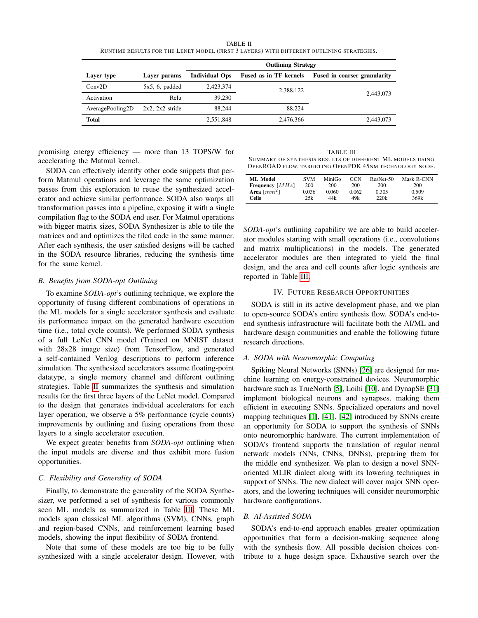TABLE II RUNTIME RESULTS FOR THE LENET MODEL (FIRST 3 LAYERS) WITH DIFFERENT OUTLINING STRATEGIES.

<span id="page-5-0"></span>

|                  |                      | <b>Outlining Strategy</b> |                               |                                     |  |
|------------------|----------------------|---------------------------|-------------------------------|-------------------------------------|--|
| Layer type       | Laver params         | <b>Individual Ops</b>     | <b>Fused as in TF kernels</b> | <b>Fused in coarser granularity</b> |  |
| Conv2D           | $5x5, 6$ , padded    | 2,423,374                 | 2,388,122                     |                                     |  |
| Activation       | Relu                 | 39.230                    |                               | 2.443,073                           |  |
| AveragePooling2D | $2x2$ , $2x2$ stride | 88,244                    | 88.224                        |                                     |  |
| <b>Total</b>     |                      | 2,551,848                 | 2,476,366                     | 2,443,073                           |  |

promising energy efficiency — more than 13 TOPS/W for accelerating the Matmul kernel.

SODA can effectively identify other code snippets that perform Matmul operations and leverage the same optimization passes from this exploration to reuse the synthesized accelerator and achieve similar performance. SODA also warps all transformation passes into a pipeline, exposing it with a single compilation flag to the SODA end user. For Matmul operations with bigger matrix sizes, SODA Synthesizer is able to tile the matrices and and optimizes the tiled code in the same manner. After each synthesis, the user satisfied designs will be cached in the SODA resource libraries, reducing the synthesis time for the same kernel.

## *B. Benefits from SODA-opt Outlining*

To examine *SODA-opt*'s outlining technique, we explore the opportunity of fusing different combinations of operations in the ML models for a single accelerator synthesis and evaluate its performance impact on the generated hardware execution time (i.e., total cycle counts). We performed SODA synthesis of a full LeNet CNN model (Trained on MNIST dataset with 28x28 image size) from TensorFlow, and generated a self-contained Verilog descriptions to perform inference simulation. The synthesized accelerators assume floating-point datatype, a single memory channel and different outlining strategies. Table [II](#page-5-0) summarizes the synthesis and simulation results for the first three layers of the LeNet model. Compared to the design that generates individual accelerators for each layer operation, we observe a 5% performance (cycle counts) improvements by outlining and fusing operations from those layers to a single accelerator execution.

We expect greater benefits from *SODA-opt* outlining when the input models are diverse and thus exhibit more fusion opportunities.

## *C. Flexibility and Generality of SODA*

Finally, to demonstrate the generality of the SODA Synthesizer, we performed a set of synthesis for various commonly seen ML models as summarized in Table [III.](#page-5-1) These ML models span classical ML algorithms (SVM), CNNs, graph and region-based CNNs, and reinforcement learning based models, showing the input flexibility of SODA frontend.

Note that some of these models are too big to be fully synthesized with a single accelerator design. However, with

<span id="page-5-1"></span>TABLE III SUMMARY OF SYNTHESIS RESULTS OF DIFFERENT ML MODELS USING OPENROAD FLOW, TARGETING OPENPDK 45NM TECHNOLOGY NODE.

| ML Model                  | <b>SVM</b> | MiniGo | GCN   | ResNet-50 | Mask R-CNN |
|---------------------------|------------|--------|-------|-----------|------------|
| <b>Frequency</b> $[MHz]$  | 200        | 200    | 200   | 200       | 200        |
| Area $\lceil mm^2 \rceil$ | 0.036      | 0.060  | 0.062 | 0.305     | 0.509      |
| <b>Cells</b>              | 25k        | 44k    | 49k   | 220k      | 369k       |
|                           |            |        |       |           |            |

*SODA-opt*'s outlining capability we are able to build accelerator modules starting with small operations (i.e., convolutions and matrix multiplications) in the models. The generated accelerator modules are then integrated to yield the final design, and the area and cell counts after logic synthesis are reported in Table [III.](#page-5-1)

## IV. FUTURE RESEARCH OPPORTUNITIES

SODA is still in its active development phase, and we plan to open-source SODA's entire synthesis flow. SODA's end-toend synthesis infrastructure will facilitate both the AI/ML and hardware design communities and enable the following future research directions.

#### *A. SODA with Neuromorphic Computing*

Spiking Neural Networks (SNNs) [\[26\]](#page-7-16) are designed for machine learning on energy-constrained devices. Neuromorphic hardware such as TrueNorth [\[5\]](#page-7-17), Loihi [\[10\]](#page-7-18), and DynapSE [\[31\]](#page-7-19) implement biological neurons and synapses, making them efficient in executing SNNs. Specialized operators and novel mapping techniques [\[1\]](#page-7-20), [\[41\]](#page-7-21), [\[42\]](#page-7-22) introduced by SNNs create an opportunity for SODA to support the synthesis of SNNs onto neuromorphic hardware. The current implementation of SODA's frontend supports the translation of regular neural network models (NNs, CNNs, DNNs), preparing them for the middle end synthesizer. We plan to design a novel SNNoriented MLIR dialect along with its lowering techniques in support of SNNs. The new dialect will cover major SNN operators, and the lowering techniques will consider neuromorphic hardware configurations.

#### *B. AI-Assisted SODA*

SODA's end-to-end approach enables greater optimization opportunities that form a decision-making sequence along with the synthesis flow. All possible decision choices contribute to a huge design space. Exhaustive search over the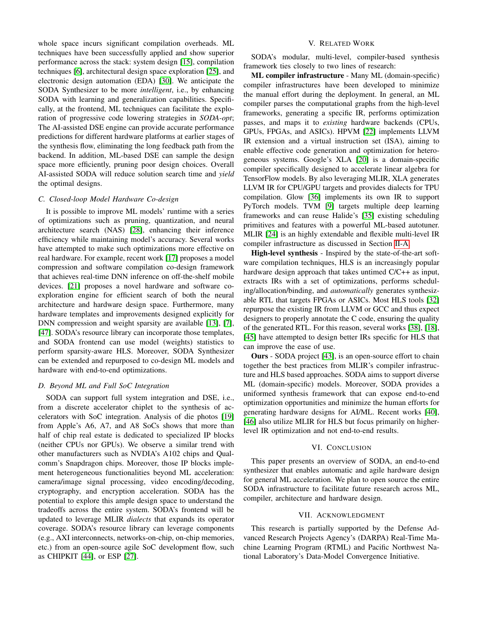whole space incurs significant compilation overheads. ML techniques have been successfully applied and show superior performance across the stack: system design [\[15\]](#page-7-23), compilation techniques [\[6\]](#page-7-24), architectural design space exploration [\[25\]](#page-7-25), and electronic design automation (EDA) [\[30\]](#page-7-26). We anticipate the SODA Synthesizer to be more *intelligent*, i.e., by enhancing SODA with learning and generalization capabilities. Specifically, at the frontend, ML techniques can facilitate the exploration of progressive code lowering strategies in *SODA-opt*; The AI-assisted DSE engine can provide accurate performance predictions for different hardware platforms at earlier stages of the synthesis flow, eliminating the long feedback path from the backend. In addition, ML-based DSE can sample the design space more efficiently, pruning poor design choices. Overall AI-assisted SODA will reduce solution search time and *yield* the optimal designs.

#### *C. Closed-loop Model Hardware Co-design*

It is possible to improve ML models' runtime with a series of optimizations such as pruning, quantization, and neural architecture search (NAS) [\[28\]](#page-7-27), enhancing their inference efficiency while maintaining model's accuracy. Several works have attempted to make such optimizations more effective on real hardware. For example, recent work [\[17\]](#page-7-28) proposes a model compression and software compilation co-design framework that achieves real-time DNN inference on off-the-shelf mobile devices. [\[21\]](#page-7-29) proposes a novel hardware and software coexploration engine for efficient search of both the neural architecture and hardware design space. Furthermore, many hardware templates and improvements designed explicitly for DNN compression and weight sparsity are available [\[13\]](#page-7-4), [\[7\]](#page-7-30), [\[47\]](#page-7-31). SODA's resource library can incorporate those templates, and SODA frontend can use model (weights) statistics to perform sparsity-aware HLS. Moreover, SODA Synthesizer can be extended and repurposed to co-design ML models and hardware with end-to-end optimizations.

## *D. Beyond ML and Full SoC Integration*

SODA can support full system integration and DSE, i.e., from a discrete accelerator chiplet to the synthesis of accelerators with SoC integration. Analysis of die photos [\[19\]](#page-7-32) from Apple's A6, A7, and A8 SoCs shows that more than half of chip real estate is dedicated to specialized IP blocks (neither CPUs nor GPUs). We observe a similar trend with other manufacturers such as NVDIA's A102 chips and Qualcomm's Snapdragon chips. Moreover, those IP blocks implement heterogeneous functionalities beyond ML acceleration: camera/image signal processing, video encoding/decoding, cryptography, and encryption acceleration. SODA has the potential to explore this ample design space to understand the tradeoffs across the entire system. SODA's frontend will be updated to leverage MLIR *dialects* that expands its operator coverage. SODA's resource library can leverage components (e.g., AXI interconnects, networks-on-chip, on-chip memories, etc.) from an open-source agile SoC development flow, such as CHIPKIT [\[44\]](#page-7-33), or ESP [\[27\]](#page-7-34).

# V. RELATED WORK

SODA's modular, multi-level, compiler-based synthesis framework ties closely to two lines of research:

ML compiler infrastructure - Many ML (domain-specific) compiler infrastructures have been developed to minimize the manual effort during the deployment. In general, an ML compiler parses the computational graphs from the high-level frameworks, generating a specific IR, performs optimization passes, and maps it to *existing* hardware backends (CPUs, GPUs, FPGAs, and ASICs). HPVM [\[22\]](#page-7-35) implements LLVM IR extension and a virtual instruction set (ISA), aiming to enable effective code generation and optimization for heterogeneous systems. Google's XLA [\[20\]](#page-7-36) is a domain-specific compiler specifically designed to accelerate linear algebra for TensorFlow models. By also leveraging MLIR, XLA generates LLVM IR for CPU/GPU targets and provides dialects for TPU compilation. Glow [\[36\]](#page-7-37) implements its own IR to support PyTorch models. TVM [\[9\]](#page-7-38) targets multiple deep learning frameworks and can reuse Halide's [\[35\]](#page-7-39) existing scheduling primitives and features with a powerful ML-based autotuner. MLIR [\[24\]](#page-7-8) is an highly extendable and flexible multi-level IR compiler infrastructure as discussed in Section [II-A.](#page-2-1)

High-level synthesis - Inspired by the state-of-the-art software compilation techniques, HLS is an increasingly popular hardware design approach that takes untimed  $C/C++$  as input, extracts IRs with a set of optimizations, performs scheduling/allocation/binding, and *automatically* generates synthesizable RTL that targets FPGAs or ASICs. Most HLS tools [\[32\]](#page-7-40) repurpose the existing IR from LLVM or GCC and thus expect designers to properly annotate the C code, ensuring the quality of the generated RTL. For this reason, several works [\[38\]](#page-7-41), [\[18\]](#page-7-42), [\[45\]](#page-7-43) have attempted to design better IRs specific for HLS that can improve the ease of use.

Ours - SODA project [\[43\]](#page-7-44), is an open-source effort to chain together the best practices from MLIR's compiler infrastructure and HLS based approaches. SODA aims to support diverse ML (domain-specific) models. Moreover, SODA provides a uniformed synthesis framework that can expose end-to-end optimization opportunities and minimize the human efforts for generating hardware designs for AI/ML. Recent works [\[40\]](#page-7-45), [\[46\]](#page-7-46) also utilize MLIR for HLS but focus primarily on higherlevel IR optimization and not end-to-end results.

#### VI. CONCLUSION

This paper presents an overview of SODA, an end-to-end synthesizer that enables automatic and agile hardware design for general ML acceleration. We plan to open source the entire SODA infrastructure to facilitate future research across ML, compiler, architecture and hardware design.

## VII. ACKNOWLEDGMENT

This research is partially supported by the Defense Advanced Research Projects Agency's (DARPA) Real-Time Machine Learning Program (RTML) and Pacific Northwest National Laboratory's Data-Model Convergence Initiative.